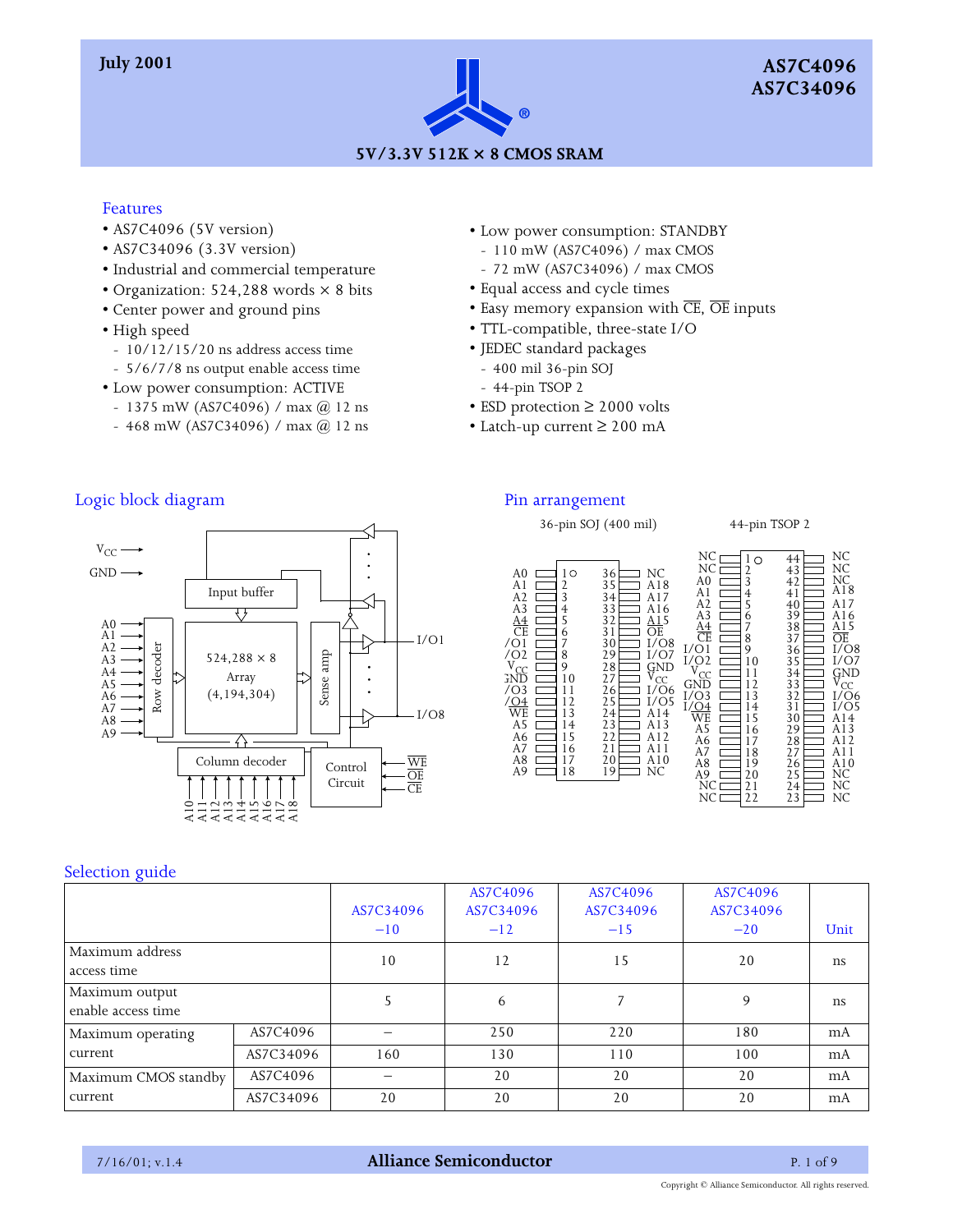

#### Features

- AS7C4096 (5V version)
- AS7C34096 (3.3V version)
- Industrial and commercial temperature
- Organization: 524,288 words × 8 bits
- Center power and ground pins
- High speed
	- 10/12/15/20 ns address access time
	- 5/6/7/8 ns output enable access time
- Low power consumption: ACTIVE
	- 1375 mW (AS7C4096) / max  $@$  12 ns
	- 468 mW (AS7C34096) / max  $@$  12 ns
- Low power consumption: STANDBY
- 110 mW (AS7C4096) / max CMOS
- 72 mW (AS7C34096) / max CMOS
- Equal access and cycle times
- Easy memory expansion with  $\overline{\text{CE}}$ ,  $\overline{\text{OE}}$  inputs
- TTL-compatible, three-state I/O
- JEDEC standard packages
- 400 mil 36-pin SOJ
- 44-pin TSOP 2
- ESD protection ≥ 2000 volts
- Latch-up current ≥ 200 mA

## Logic block diagram



#### Pin arrangement

#### 36-pin SOJ (400 mil) 44-pin TSOP 2



### Selection guide

|                                      |           | AS7C34096<br>$-10$ | AS7C4096<br>AS7C34096<br>$-12$ | AS7C4096<br>AS7C34096<br>$-15$ | AS7C4096<br>AS7C34096<br>$-20$ | Unit          |
|--------------------------------------|-----------|--------------------|--------------------------------|--------------------------------|--------------------------------|---------------|
| Maximum address<br>access time       |           | 10                 | 12                             | 15                             | 20                             | <sub>ns</sub> |
| Maximum output<br>enable access time |           |                    | 6                              |                                | 9                              | <sub>ns</sub> |
| Maximum operating                    | AS7C4096  |                    | 250                            | 220                            | 180                            | mA            |
| current                              | AS7C34096 | 160                | 130                            | 110                            | 100                            | mA            |
| Maximum CMOS standby                 | AS7C4096  |                    | 20                             | 20                             | 20                             | mA            |
| current                              | AS7C34096 | 20                 | 20                             | 20                             | 20                             | mA            |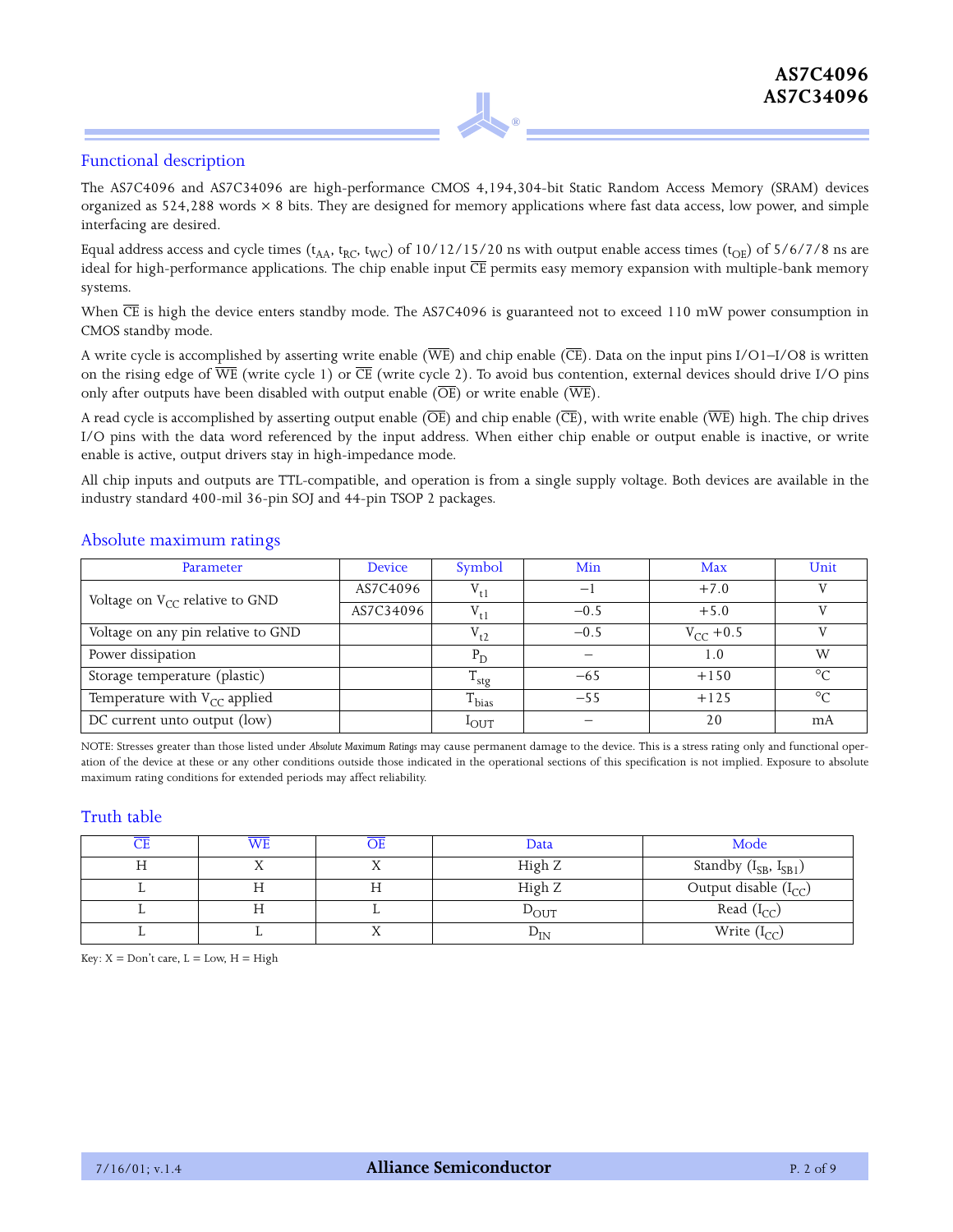#### Functional description

The AS7C4096 and AS7C34096 are high-performance CMOS 4,194,304-bit Static Random Access Memory (SRAM) devices organized as  $524,288$  words  $\times 8$  bits. They are designed for memory applications where fast data access, low power, and simple interfacing are desired.

**®**

Equal address access and cycle times ( $t_{AA}$ ,  $t_{RC}$ ,  $t_{WC}$ ) of 10/12/15/20 ns with output enable access times ( $t_{OE}$ ) of 5/6/7/8 ns are ideal for high-performance applications. The chip enable input  $\overline{\text{CE}}$  permits easy memory expansion with multiple-bank memory systems.

When  $\overline{\text{CE}}$  is high the device enters standby mode. The AS7C4096 is guaranteed not to exceed 110 mW power consumption in CMOS standby mode.

A write cycle is accomplished by asserting write enable ( $\overline{\text{WE}}$ ) and chip enable ( $\overline{\text{CE}}$ ). Data on the input pins I/O1–I/O8 is written on the rising edge of  $\overline{WE}$  (write cycle 1) or  $\overline{CE}$  (write cycle 2). To avoid bus contention, external devices should drive I/O pins only after outputs have been disabled with output enable  $(\overline{\text{OE}})$  or write enable  $(\overline{\text{WE}})$ .

A read cycle is accomplished by asserting output enable ( $\overline{\text{OE}}$ ) and chip enable ( $\overline{\text{CE}}$ ), with write enable ( $\overline{\text{WE}}$ ) high. The chip drives I/O pins with the data word referenced by the input address. When either chip enable or output enable is inactive, or write enable is active, output drivers stay in high-impedance mode.

All chip inputs and outputs are TTL-compatible, and operation is from a single supply voltage. Both devices are available in the industry standard 400-mil 36-pin SOJ and 44-pin TSOP 2 packages.

#### Absolute maximum ratings

| Parameter                           | <b>Device</b> | Symbol           | Min    | Max           | Unit    |
|-------------------------------------|---------------|------------------|--------|---------------|---------|
| Voltage on $V_{CC}$ relative to GND | AS7C4096      | $V_{t1}$         | آ —    | $+7.0$        |         |
|                                     | AS7C34096     | $V_{t1}$         | $-0.5$ | $+5.0$        |         |
| Voltage on any pin relative to GND  |               | $V_{t2}$         | $-0.5$ | $V_{CC}$ +0.5 |         |
| Power dissipation                   |               | $P_{\rm D}$      |        | 1.0           | W       |
| Storage temperature (plastic)       |               | <sup>1</sup> stg | $-6.5$ | $+150$        | $\circ$ |
| Temperature with $V_{CC}$ applied   |               | $T_{bias}$       | $-5.5$ | $+125$        | $\circ$ |
| DC current unto output (low)        |               | $1$ out          |        | 20            | mA      |

NOTE: Stresses greater than those listed under *Absolute Maximum Ratings* may cause permanent damage to the device. This is a stress rating only and functional operation of the device at these or any other conditions outside those indicated in the operational sections of this specification is not implied. Exposure to absolute maximum rating conditions for extended periods may affect reliability.

#### Truth table

| WE |         | Data            | Mode                        |
|----|---------|-----------------|-----------------------------|
|    |         | High Z          | Standby $(I_{SB}, I_{SB1})$ |
|    | ТT<br>п | High Z          | Output disable $(I_{CC})$   |
|    |         | $\rm \nu_{OUT}$ | Read $(I_{CC})$             |
|    | 77      | $\rm \nu_{IN}$  | Write $(I_{CC})$            |

Key:  $X = Don't$  care,  $L = Low$ ,  $H = High$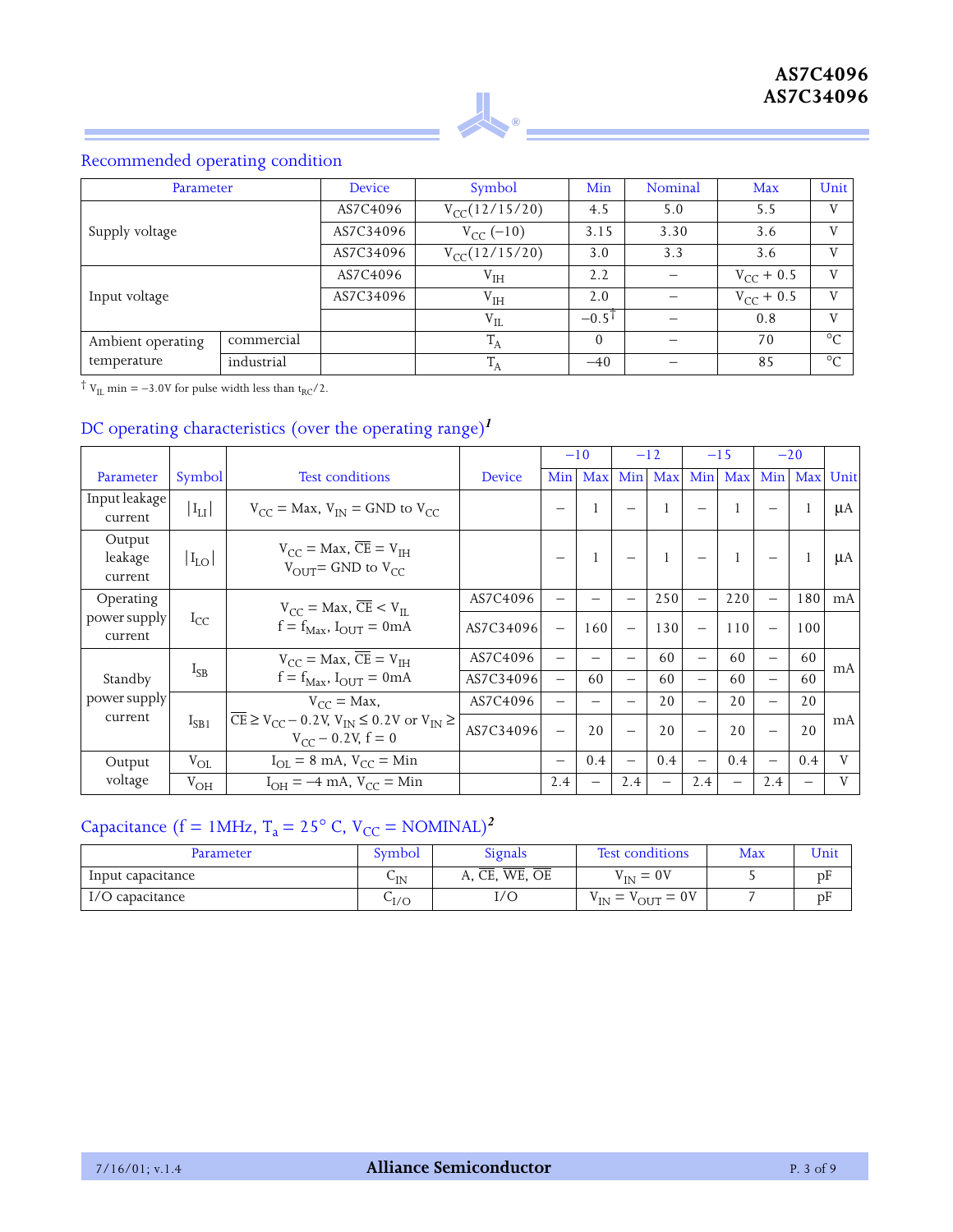

## Recommended operating condition

| Parameter                       |  | <b>Device</b> | Symbol                           | Min                 | Nominal | Max            | Unit           |
|---------------------------------|--|---------------|----------------------------------|---------------------|---------|----------------|----------------|
|                                 |  | AS7C4096      | $V_{CC}$ (12/15/20)              | 4.5                 | 5.0     | 5.5            | $\mathbf{V}$   |
| Supply voltage                  |  | AS7C34096     | $V_{CC}$ (-10)                   | 3.15                | 3.30    | 3.6            | $\mathbf{V}$   |
|                                 |  | AS7C34096     | $V_{CC}$ (12/15/20)              | 3.0                 | 3.3     | 3.6            | $\mathbf{V}$   |
|                                 |  | AS7C4096      | ${\rm V}^{\phantom{1}}_{\rm IH}$ | 2.2                 |         | $V_{CC}$ + 0.5 | $\mathbf{V}$   |
| Input voltage                   |  | AS7C34096     | ${\rm V}^{}_{\rm IH}$            | 2.0                 |         | $V_{CC}$ + 0.5 | $\overline{V}$ |
|                                 |  |               | $\rm V_{II}$                     | $-0.5$ <sup>1</sup> |         | 0.8            | V              |
| commercial<br>Ambient operating |  |               | $^{\perp}$ A                     | $\Omega$            |         | 70             | $\circ$        |
| industrial<br>temperature       |  |               | ᠇᠇<br>$^{\perp}$ A               | $-40$               |         | 85             | $\circ$        |

 $\dagger$   $V_{\text{IL}}$  min = -3.0V for pulse width less than t<sub>RC</sub>/2.

## DC operating characteristics (over the operating range)*<sup>1</sup>*

|                              |            |                                                                                                                                                                  |           |                          | $-10$                    | $-12$                    |              | $-15$                    |     | $-20$                    |     |              |
|------------------------------|------------|------------------------------------------------------------------------------------------------------------------------------------------------------------------|-----------|--------------------------|--------------------------|--------------------------|--------------|--------------------------|-----|--------------------------|-----|--------------|
| Parameter                    | Symbol     | <b>Test conditions</b>                                                                                                                                           | Device    | Min                      | Max                      | Min                      | Max          | Min                      | Max | Min                      | Max | Unit         |
| Input leakage<br>current     | $ I_{LI} $ | $V_{CC}$ = Max, $V_{IN}$ = GND to $V_{CC}$                                                                                                                       |           |                          |                          |                          | $\mathbf{1}$ |                          |     |                          |     | μA           |
| Output<br>leakage<br>current | $I_{LO}$   | $V_{CC}$ = Max, $\overline{CE}$ = $V_{TH}$<br>$V_{\text{OIII}}$ = GND to $V_{\text{CC}}$                                                                         |           |                          |                          |                          |              |                          |     |                          |     | μA           |
| Operating                    |            | $V_{CC}$ = Max, $\overline{CE}$ < $V_{II}$                                                                                                                       | AS7C4096  | $\overline{\phantom{0}}$ | —                        |                          | 250          | $\overline{\phantom{0}}$ | 220 | $\overline{\phantom{0}}$ | 180 | mA           |
| power supply<br>current      | $I_{CC}$   | $f = f_{\text{Max}}$ , $I_{\text{OUT}} = 0$ mA                                                                                                                   | AS7C34096 | $\overline{\phantom{0}}$ | 160                      | $\overline{\phantom{0}}$ | 130          | $\overline{\phantom{0}}$ | 110 | $\overline{\phantom{0}}$ | 100 |              |
|                              |            | $V_{CC}$ = Max, $\overline{CE}$ = $V_{TH}$                                                                                                                       | AS7C4096  | —                        |                          |                          | 60           |                          | 60  | $\overline{\phantom{0}}$ | 60  | mA           |
| Standby                      | $I_{SB}$   | $f = f_{\text{Max}}$ , $I_{\text{OUT}} = 0$ mA                                                                                                                   | AS7C34096 |                          | 60                       |                          | 60           | $\overline{\phantom{0}}$ | 60  | $\overline{\phantom{0}}$ | 60  |              |
| power supply                 |            | $V_{CC} = Max$ ,                                                                                                                                                 | AS7C4096  | $\overline{\phantom{0}}$ |                          |                          | 20           | $\overline{\phantom{0}}$ | 20  | $\overline{\phantom{0}}$ | 20  |              |
| current                      | $I_{SB1}$  | $\overline{\text{CE}} \geq \text{V}_{\text{CC}} - 0.2 \text{V}, \text{V}_{\text{IN}} \leq 0.2 \text{V}$ or $\text{V}_{\text{IN}} \geq$<br>$V_{CC}$ – 0.2V, f = 0 | AS7C34096 | $\overline{\phantom{0}}$ | 20                       | $\overline{\phantom{0}}$ | 20           |                          | 20  | $\overline{\phantom{0}}$ | 20  | mA           |
| Output                       | $V_{OL}$   | $I_{\text{OL}} = 8 \text{ mA}$ , $V_{\text{CC}} = \text{Min}$                                                                                                    |           | $\overline{\phantom{0}}$ | 0.4                      |                          | 0.4          | $\overline{\phantom{0}}$ | 0.4 | $\overline{\phantom{0}}$ | 0.4 | $\mathbf{V}$ |
| voltage                      | $V_{OH}$   | $I_{OH} = -4$ mA, $V_{CC} =$ Min                                                                                                                                 |           | 2.4                      | $\overline{\phantom{0}}$ | 2.4                      | —            | 2.4                      |     | 2.4                      |     | $\mathbf{V}$ |

# Capacitance (f = 1MHz,  $T_a = 25^\circ$  C,  $V_{CC} = NOMINAL)^2$

| Parameter         | Symbol                               | Signals             | <b>Test conditions</b>                         | Max | Unit |
|-------------------|--------------------------------------|---------------------|------------------------------------------------|-----|------|
| Input capacitance | $\mathbin{\smash{\cup_{\text{IN}}}}$ | A, CE,<br>WE.<br>ΟE | $V_{IN} = 0V$                                  |     | pF   |
| I/O capacitance   | $C_{I/O}$                            | I/O                 | $= 0V$<br>$V_{\text{IN}} = V$<br>$v_{\rm OUT}$ |     | pF   |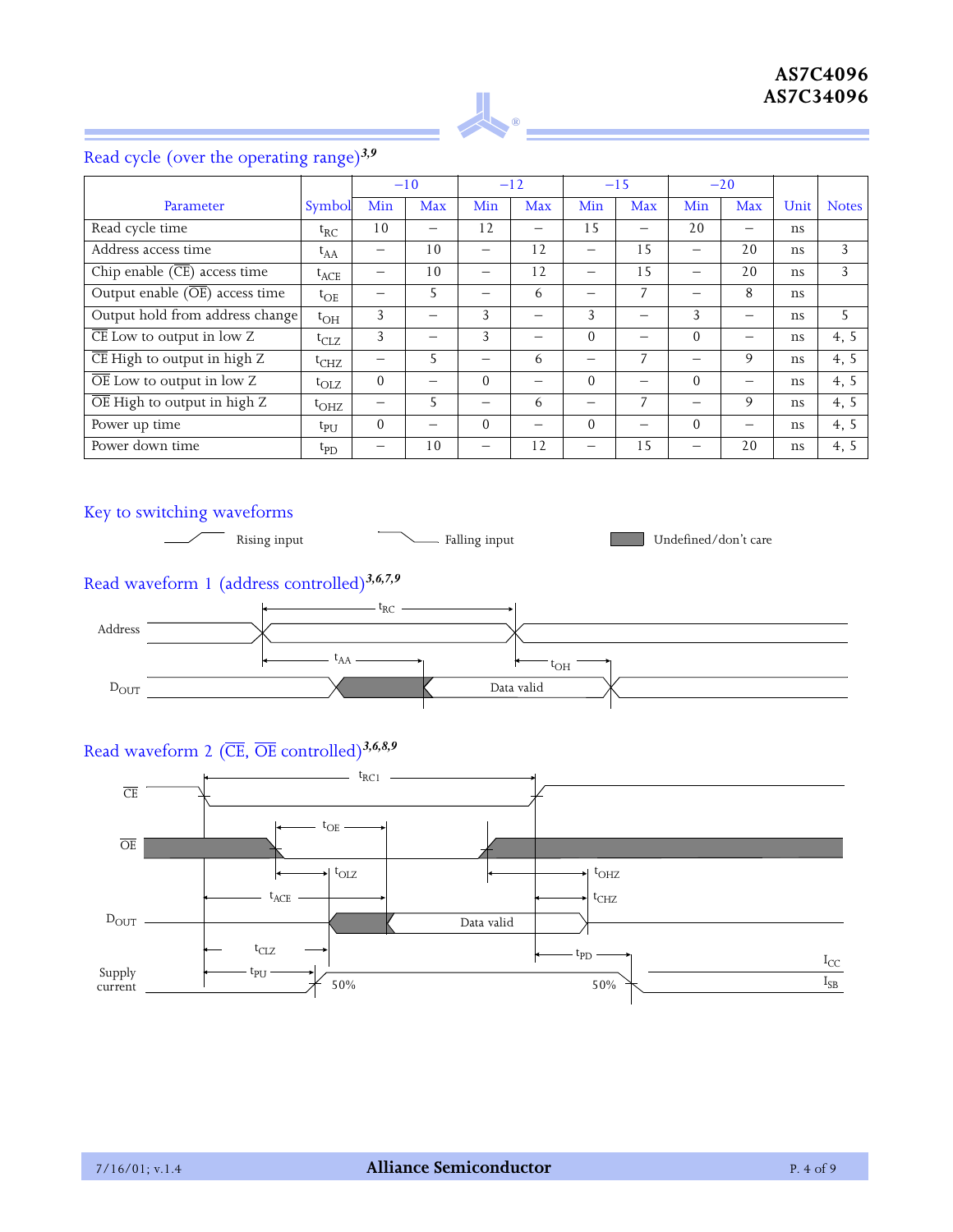

# Read cycle (over the operating range)*3,9*

|                                                  |                 |                          | $-10$          |          | $-12$ |          | $-15$ |          | $-20$ |      |              |
|--------------------------------------------------|-----------------|--------------------------|----------------|----------|-------|----------|-------|----------|-------|------|--------------|
| Parameter                                        | Symbol          | Min                      | Max            | Min      | Max   | Min      | Max   | Min      | Max   | Unit | <b>Notes</b> |
| Read cycle time                                  | $t_{RC}$        | 10                       |                | 12       |       | 1.5      |       | 20       |       | ns   |              |
| Address access time                              | $t_{AA}$        | $\overline{\phantom{0}}$ | 10             |          | 12    |          | 15    |          | 20    | ns   | 3            |
| Chip enable $(\overline{\text{CE}})$ access time | $t_{ACE}$       |                          | 10             |          | 12    |          | 15    |          | 20    | ns   | 3            |
| Output enable $(\overline{OE})$ access time      | $t_{\rm OE}$    | —                        | 5              |          | 6     |          | 7     |          | 8     | ns   |              |
| Output hold from address change                  | $t_{\rm OH}$    | 3                        |                | 3        |       | 3        |       | 3        | —     | ns   | 5            |
| $\overline{\text{CE}}$ Low to output in low Z    | $t_{CLZ}$       | 3                        |                | 3        |       | $\Omega$ | —     | $\Omega$ |       | ns   | 4, 5         |
| $\overline{\text{CE}}$ High to output in high Z  | $t_{CHZ}$       | —                        | 5              |          | 6     |          | 7     |          | 9     | ns   | 4, 5         |
| $\overline{OE}$ Low to output in low Z           | $t_{\rm OIZ}$   | $\Omega$                 |                | $\Omega$ |       | $\Omega$ |       | $\Omega$ |       | ns   | 4, 5         |
| $\overline{OE}$ High to output in high Z         | $t_{\rm OHZ}$   |                          | 5              |          | 6     |          | 7     |          | 9     | ns   | 4, 5         |
| Power up time                                    | $t_{\rm{PI}}$   | $\Omega$                 |                | $\Omega$ |       | $\Omega$ | —     | $\Omega$ |       | ns   | 4, 5         |
| Power down time                                  | $t_{\text{PD}}$ |                          | 1 <sub>0</sub> |          | 12    |          | 15    |          | 20    | ns   | 4, 5         |

## Key to switching waveforms



# Read waveform 1 (address controlled)*3,6,7,9*



## Read waveform 2 (CE, OE controlled)*3,6,8,9*

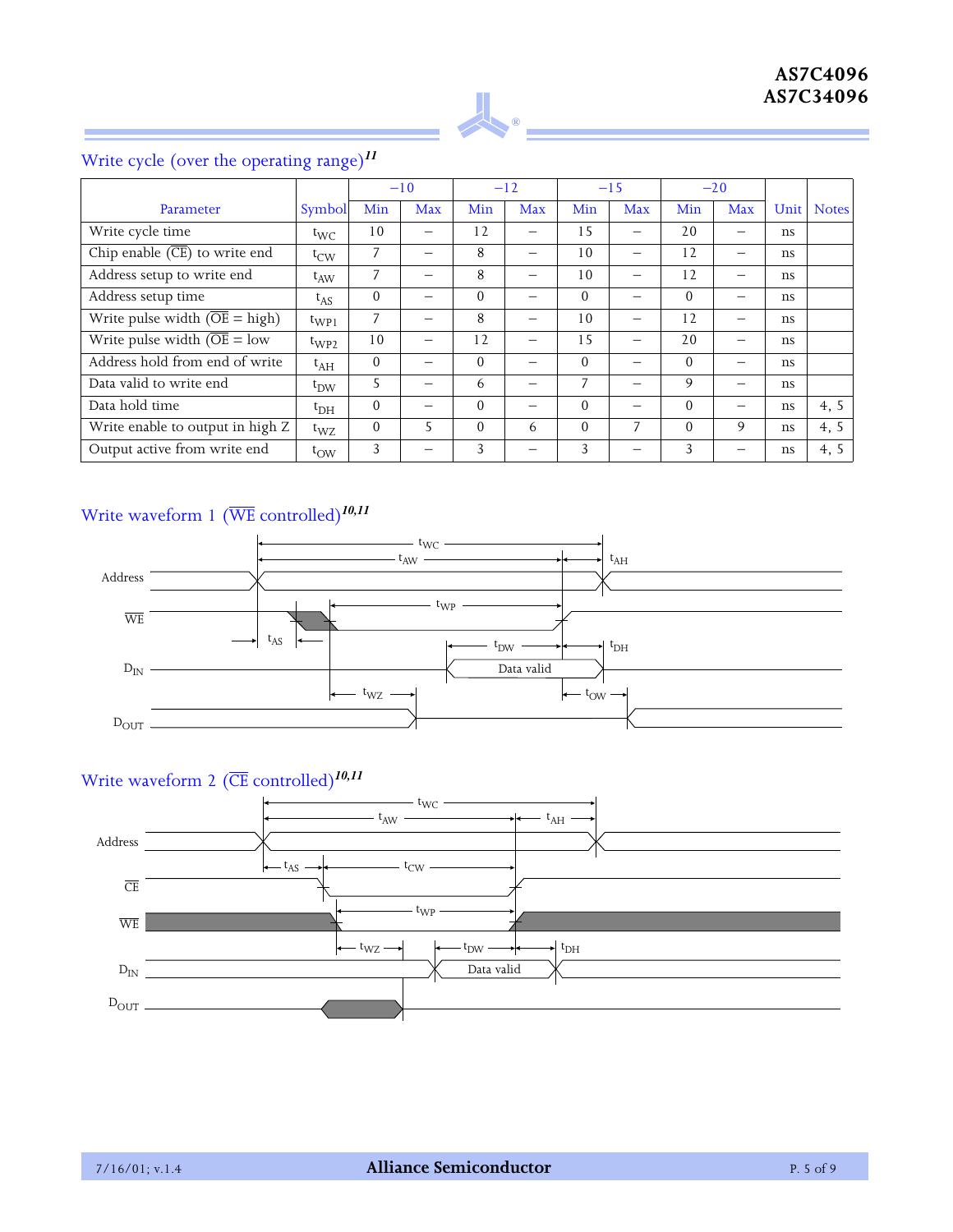

## Parameter Symbol  $-10$   $-12$   $-15$   $-20$ Min Max Min Max Min Max Min Max Unit Notes Write cycle time  $t_{\text{WC}}$  | 10 | – | 12 | – | 15 | – | 20 | – | ns Chip enable (CE) to write end tCW 7 – 8 – 10 – 12 – ns Address setup to write end  $t_{AW}$  | 7 | – | 8 | – | 10 | – | 12 | – | ns Address setup time  $t_{AS}$  | 0 | – | 0 | – | 0 | – | 0 | – | ns Write pulse width  $(\overline{OE} = high)$  t<sub>WP1</sub> 7 - 8 - 10 - 10 - 12 - ns Write pulse width  $\overline{OE} = low \left[\begin{array}{c|c|c|c} t_{WP2} & 10 & - & 12 & - & 15 & - & 20 & - \end{array}\right]$ Address hold from end of write tAH 0 – 0 – 0 – 0 – ns Data valid to write end t<sub>DW</sub> 5 – 6 – 7 – 9 – ns Data hold time  $t_{\text{DH}}$  | 0 | – | 0 | – | 0 | – | ns | 4, 5 Write enable to output in high Z tWZ 0 5 0 6 0 7 0 9 ns 4, 5 Output active from write end tOW 3 – 3 – 3 – 3 – ns 4, 5

## Write cycle (over the operating range)*<sup>11</sup>*

## Write waveform 1 (WE controlled)*10,11*



## Write waveform 2 (CE controlled)*10,11*

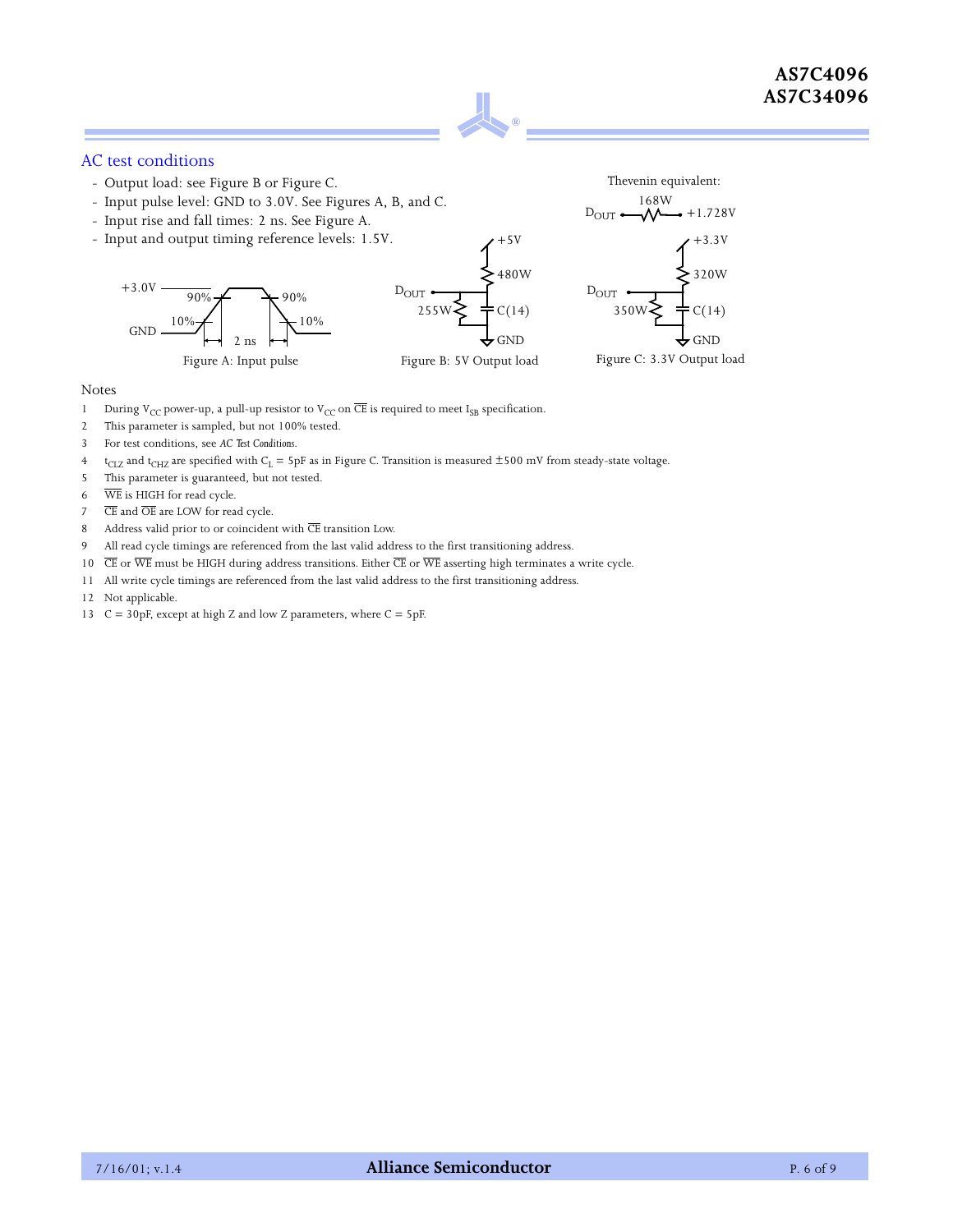

#### AC test conditions

- Output load: see Figure B or Figure C.
- Input pulse level: GND to 3.0V. See Figures A, B, and C.
- Input rise and fall times: 2 ns. See Figure A.
- Input and output timing reference levels: 1.5V.





#### Notes

- 1 During V<sub>CC</sub> power-up, a pull-up resistor to V<sub>CC</sub> on  $\overline{\text{CE}}$  is required to meet I<sub>SB</sub> specification.
- 2 This parameter is sampled, but not 100% tested.
- 3 For test conditions, see *AC Test Conditions*.
- $t_{CLZ}$  and t<sub>CHZ</sub> are specified with C<sub>L</sub> = 5pF as in Figure C. Transition is measured  $\pm$ 500 mV from steady-state voltage.
- 5 This parameter is guaranteed, but not tested.
- 6 WE is HIGH for read cycle.
- $7\qquad \overline{\text{CE}}$  and  $\overline{\text{OE}}$  are LOW for read cycle.
- 8 Address valid prior to or coincident with  $\overline{\text{CE}}$  transition Low.
- 9 All read cycle timings are referenced from the last valid address to the first transitioning address.
- 10  $\overline{\text{CE}}$  or  $\overline{\text{WE}}$  must be HIGH during address transitions. Either  $\overline{\text{CE}}$  or  $\overline{\text{WE}}$  asserting high terminates a write cycle.
- 11 All write cycle timings are referenced from the last valid address to the first transitioning address.
- 12 Not applicable.
- 13 C = 30pF, except at high Z and low Z parameters, where C = 5pF.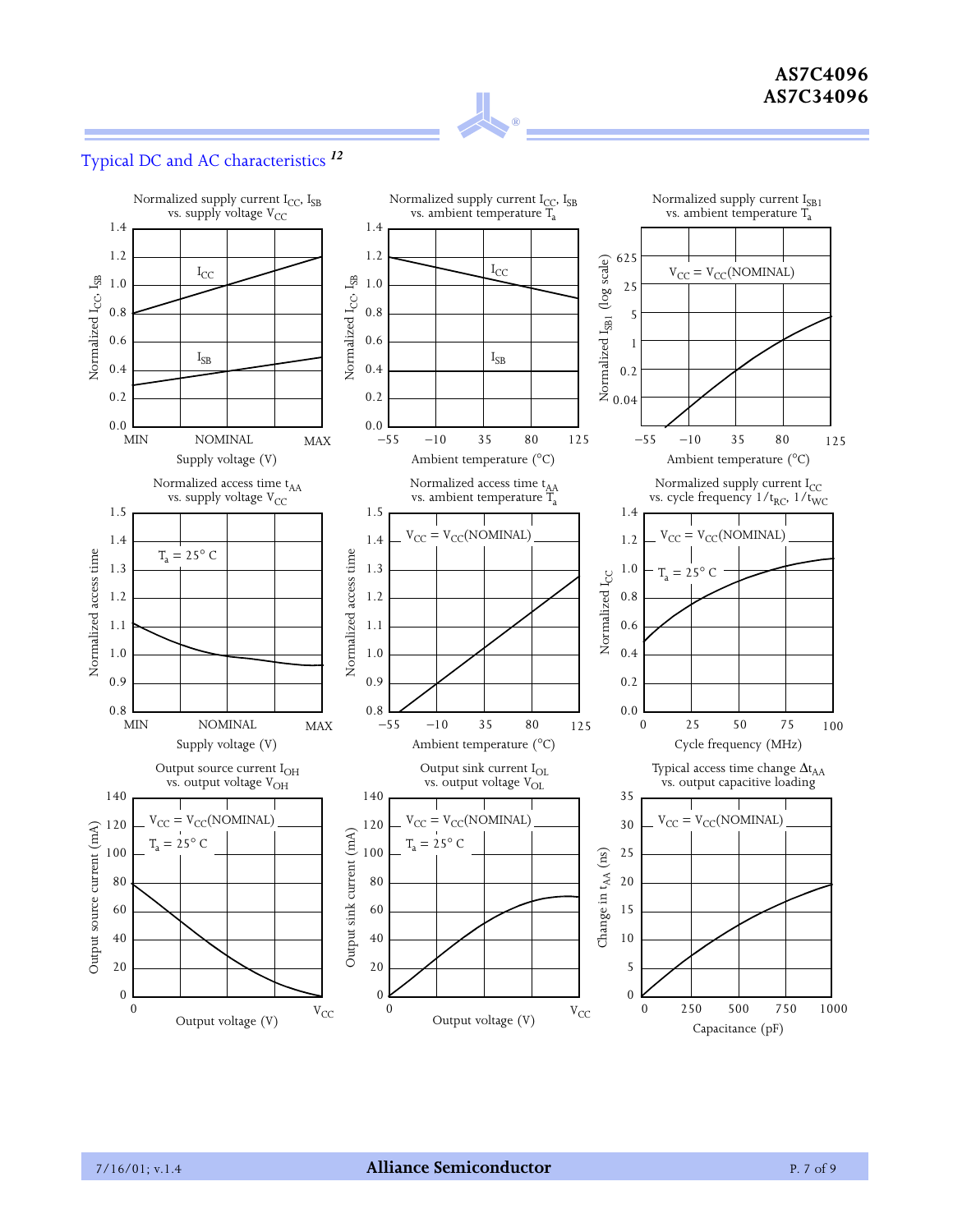

## Typical DC and AC characteristics *<sup>12</sup>*

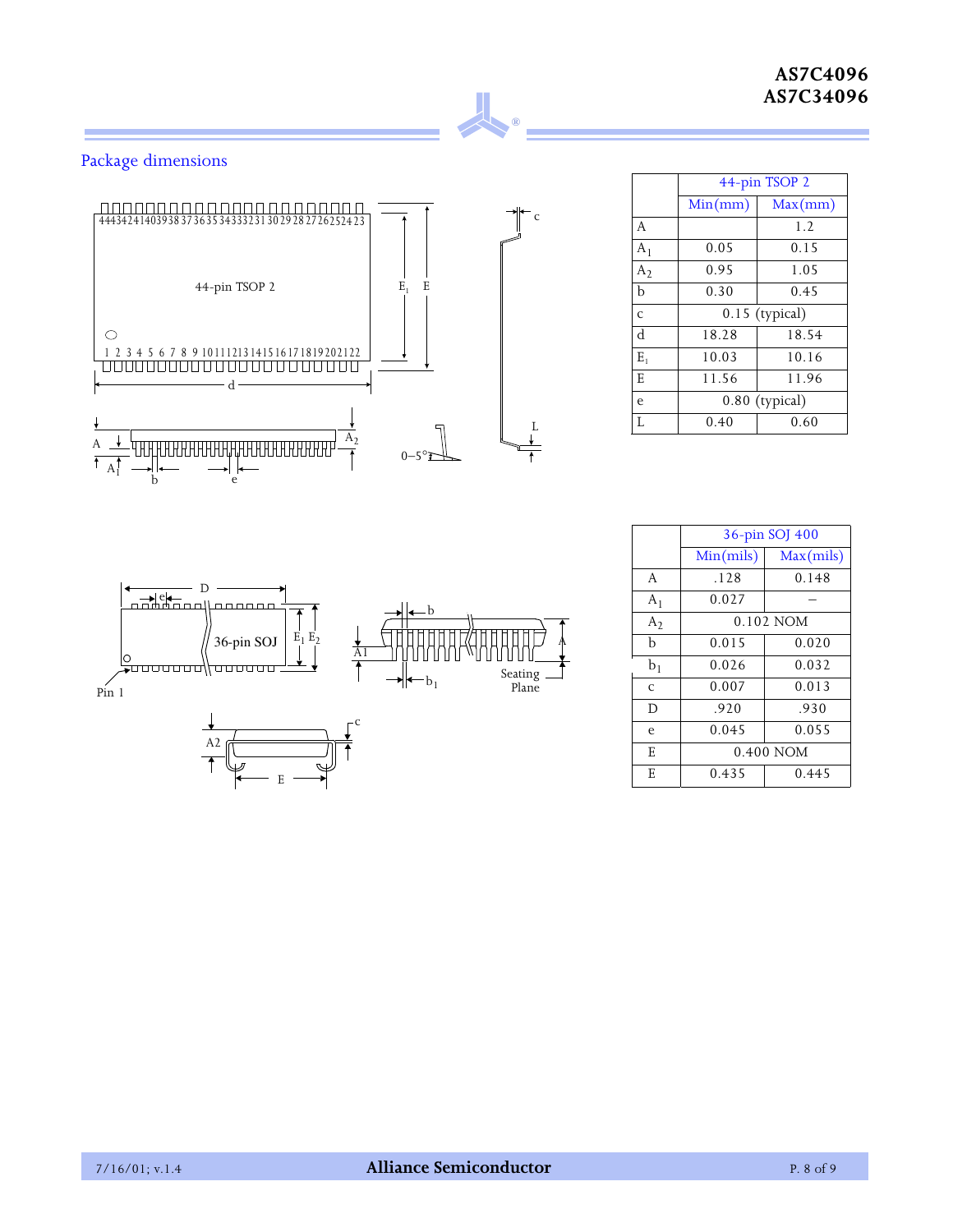## **AS7C4096 AS7C34096**

## Package dimensions



**®**

|                | 44-pin TSOP 2  |                  |  |  |  |  |  |  |
|----------------|----------------|------------------|--|--|--|--|--|--|
|                | Min(mm)        | Max(mm)          |  |  |  |  |  |  |
| A              |                | 1.2              |  |  |  |  |  |  |
| $A_1$          | 0.05           | 0.15             |  |  |  |  |  |  |
| $A_2$          | 0.95           | 1.05             |  |  |  |  |  |  |
| $\mathbf b$    | 0.30           | 0.45             |  |  |  |  |  |  |
| $\overline{C}$ |                | $0.15$ (typical) |  |  |  |  |  |  |
| d              | 18.28          | 18.54            |  |  |  |  |  |  |
| Ε,             | 10.03          | 10.16            |  |  |  |  |  |  |
| E              | 11.56          | 11.96            |  |  |  |  |  |  |
| e              | 0.80 (typical) |                  |  |  |  |  |  |  |
| T.             | 0.40           | 0.60             |  |  |  |  |  |  |



|                | 36-pin SOJ 400 |             |  |  |  |  |  |  |
|----------------|----------------|-------------|--|--|--|--|--|--|
|                | Min(mils)      | Max(mils)   |  |  |  |  |  |  |
| A              | .128           | 0.148       |  |  |  |  |  |  |
| $A_1$          | 0.027          |             |  |  |  |  |  |  |
| A <sub>2</sub> |                | $0.102$ NOM |  |  |  |  |  |  |
| b              | 0.015          | 0.020       |  |  |  |  |  |  |
| b <sub>1</sub> | 0.026          | 0.032       |  |  |  |  |  |  |
| $\mathsf{C}$   | 0.007          | 0.013       |  |  |  |  |  |  |
| D              | .920           | .930        |  |  |  |  |  |  |
| e              | 0.045          | 0.055       |  |  |  |  |  |  |
| E              | 0.400 NOM      |             |  |  |  |  |  |  |
| E              | 0.435          | 0.445       |  |  |  |  |  |  |